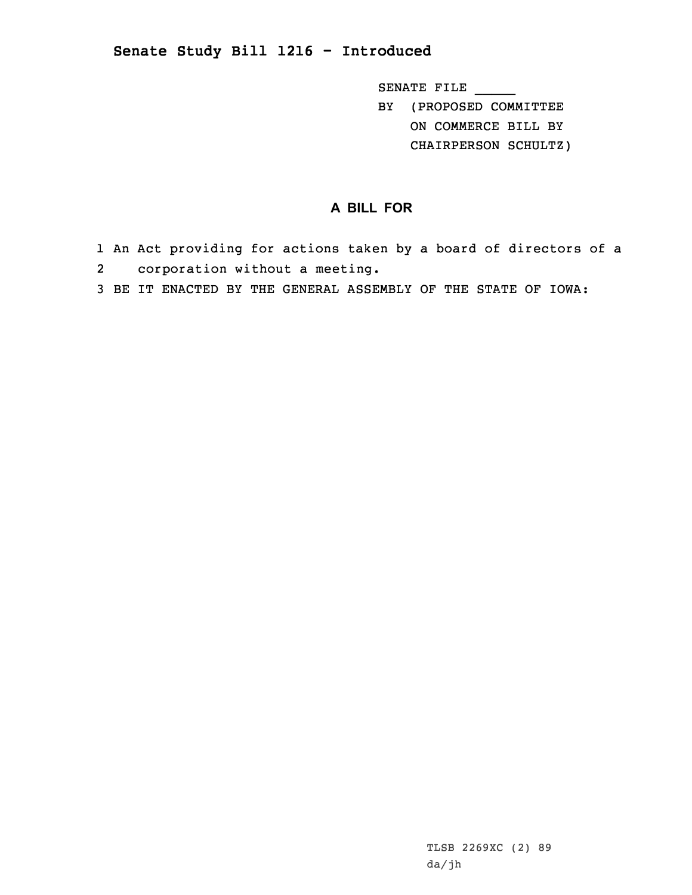## **Senate Study Bill 1216 - Introduced**

SENATE FILE \_\_\_\_\_

BY (PROPOSED COMMITTEE ON COMMERCE BILL BY

CHAIRPERSON SCHULTZ)

## **A BILL FOR**

- 1 An Act providing for actions taken by <sup>a</sup> board of directors of <sup>a</sup> 2 corporation without <sup>a</sup> meeting.
- 3 BE IT ENACTED BY THE GENERAL ASSEMBLY OF THE STATE OF IOWA: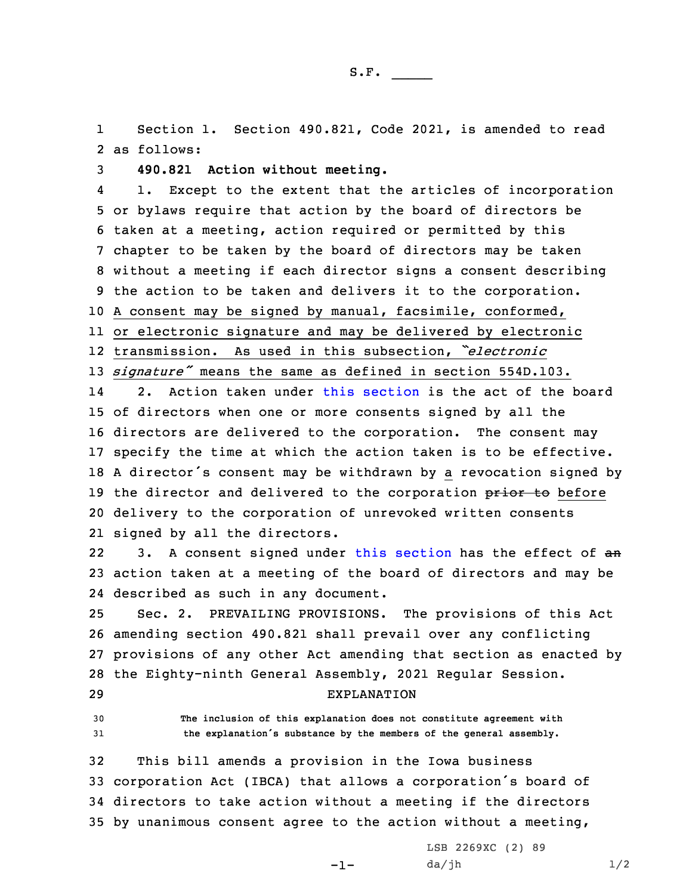1 Section 1. Section 490.821, Code 2021, is amended to read 2 as follows:

3 **490.821 Action without meeting.**

4 1. Except to the extent that the articles of incorporation or bylaws require that action by the board of directors be taken at <sup>a</sup> meeting, action required or permitted by this chapter to be taken by the board of directors may be taken without <sup>a</sup> meeting if each director signs <sup>a</sup> consent describing the action to be taken and delivers it to the corporation. <sup>A</sup> consent may be signed by manual, facsimile, conformed, or electronic signature and may be delivered by electronic transmission. As used in this subsection, *"electronic signature"* means the same as defined in section 554D.103. 14 2. Action taken under this [section](https://www.legis.iowa.gov/docs/code/2021/490.821.pdf) is the act of the board of directors when one or more consents signed by all the directors are delivered to the corporation. The consent may specify the time at which the action taken is to be effective. <sup>A</sup> director's consent may be withdrawn by <sup>a</sup> revocation signed by 19 the director and delivered to the corporation prior to before delivery to the corporation of unrevoked written consents signed by all the directors.

223. A consent signed under this [section](https://www.legis.iowa.gov/docs/code/2021/490.821.pdf) has the effect of an 23 action taken at <sup>a</sup> meeting of the board of directors and may be 24 described as such in any document.

 Sec. 2. PREVAILING PROVISIONS. The provisions of this Act amending section 490.821 shall prevail over any conflicting provisions of any other Act amending that section as enacted by the Eighty-ninth General Assembly, 2021 Regular Session.

29 EXPLANATION

30 **The inclusion of this explanation does not constitute agreement with**

<sup>31</sup> **the explanation's substance by the members of the general assembly.**

 This bill amends <sup>a</sup> provision in the Iowa business corporation Act (IBCA) that allows <sup>a</sup> corporation's board of directors to take action without <sup>a</sup> meeting if the directors by unanimous consent agree to the action without <sup>a</sup> meeting,

-1-

LSB 2269XC (2) 89  $da/jh$   $1/2$